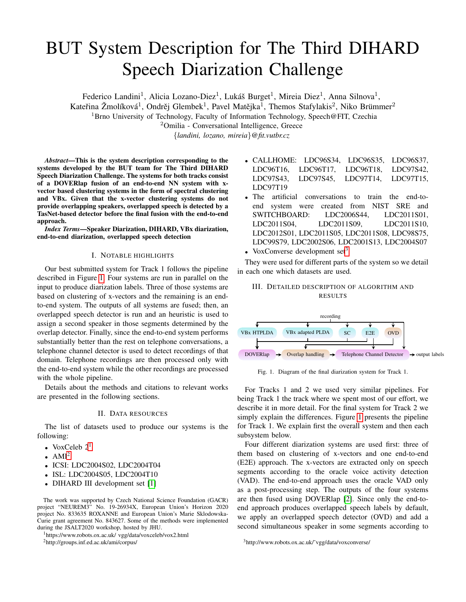# BUT System Description for The Third DIHARD Speech Diarization Challenge

Federico Landini<sup>1</sup>, Alicia Lozano-Diez<sup>1</sup>, Lukáš Burget<sup>1</sup>, Mireia Diez<sup>1</sup>, Anna Silnova<sup>1</sup>,

Kateřina Žmolíková<sup>1</sup>, Ondrěj Glembek<sup>1</sup>, Pavel Matějka<sup>1</sup>, Themos Stafylakis<sup>2</sup>, Niko Brümmer<sup>2</sup>

<sup>1</sup>Brno University of Technology, Faculty of Information Technology, Speech@FIT, Czechia

<sup>2</sup>Omilia - Conversational Intelligence, Greece

{*landini, lozano, mireia*}*@fit.vutbr.cz*

*Abstract*—This is the system description corresponding to the systems developed by the BUT team for The Third DIHARD Speech Diarization Challenge. The systems for both tracks consist of a DOVERlap fusion of an end-to-end NN system with xvector based clustering systems in the form of spectral clustering and VBx. Given that the x-vector clustering systems do not provide overlapping speakers, overlapped speech is detected by a TasNet-based detector before the final fusion with the end-to-end approach.

*Index Terms*—Speaker Diarization, DIHARD, VBx diarization, end-to-end diarization, overlapped speech detection

# I. NOTABLE HIGHLIGHTS

Our best submitted system for Track 1 follows the pipeline described in Figure [1.](#page-0-0) Four systems are run in parallel on the input to produce diarization labels. Three of those systems are based on clustering of x-vectors and the remaining is an endto-end system. The outputs of all systems are fused; then, an overlapped speech detector is run and an heuristic is used to assign a second speaker in those segments determined by the overlap detector. Finally, since the end-to-end system performs substantially better than the rest on telephone conversations, a telephone channel detector is used to detect recordings of that domain. Telephone recordings are then processed only with the end-to-end system while the other recordings are processed with the whole pipeline.

Details about the methods and citations to relevant works are presented in the following sections.

## II. DATA RESOURCES

The list of datasets used to produce our systems is the following:

- VoxCeleb  $2<sup>1</sup>$  $2<sup>1</sup>$  $2<sup>1</sup>$
- AMI $^2$  $^2$
- ICSI: LDC2004S02, LDC2004T04
- ISL: LDC2004S05, LDC2004T10
- DIHARD III development set [\[1\]](#page-3-0)

The work was supported by Czech National Science Foundation (GACR) project "NEUREM3" No. 19-26934X, European Union's Horizon 2020 project No. 833635 ROXANNE and European Union's Marie Sklodowska-Curie grant agreement No. 843627. Some of the methods were implemented during the JSALT2020 workshop, hosted by JHU.

<span id="page-0-1"></span><sup>1</sup>https://www.robots.ox.ac.uk/ vgg/data/voxceleb/vox2.html

<span id="page-0-2"></span><sup>2</sup>http://groups.inf.ed.ac.uk/ami/corpus/

- CALLHOME: LDC96S34, LDC96S35, LDC96S37, LDC96T16, LDC96T17, LDC96T18, LDC97S42, LDC97S43, LDC97S45, LDC97T14, LDC97T15, LDC97T19
- The artificial conversations to train the end-toend system were created from NIST SRE and SWITCHBOARD: LDC2006S44, LDC2011S01, LDC2011S04, LDC2011S09, LDC2011S10, LDC2012S01, LDC2011S05, LDC2011S08, LDC98S75, LDC99S79, LDC2002S06, LDC2001S13, LDC2004S07
- VoxConverse development set $3$

They were used for different parts of the system so we detail in each one which datasets are used.

# III. DETAILED DESCRIPTION OF ALGORITHM AND **RESULTS**



<span id="page-0-0"></span>Fig. 1. Diagram of the final diarization system for Track 1.

For Tracks 1 and 2 we used very similar pipelines. For being Track 1 the track where we spent most of our effort, we describe it in more detail. For the final system for Track 2 we simply explain the differences. Figure [1](#page-0-0) presents the pipeline for Track 1. We explain first the overall system and then each subsystem below.

Four different diarization systems are used first: three of them based on clustering of x-vectors and one end-to-end (E2E) approach. The x-vectors are extracted only on speech segments according to the oracle voice activity detection (VAD). The end-to-end approach uses the oracle VAD only as a post-processing step. The outputs of the four systems are then fused using DOVERlap [\[2\]](#page-3-1). Since only the end-toend approach produces overlapped speech labels by default, we apply an overlapped speech detector (OVD) and add a second simultaneous speaker in some segments according to

<span id="page-0-3"></span><sup>3</sup>http://www.robots.ox.ac.uk/˜vgg/data/voxconverse/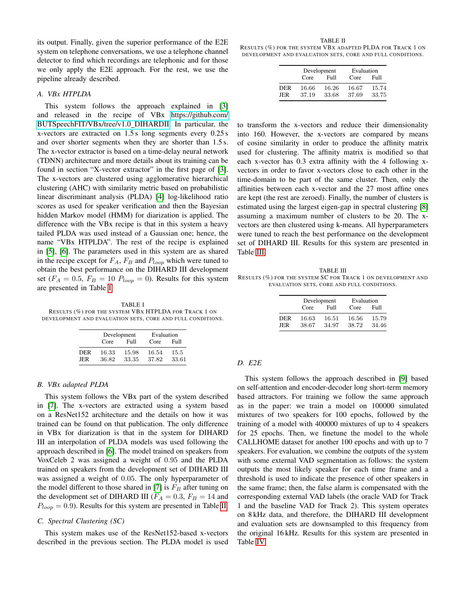its output. Finally, given the superior performance of the E2E system on telephone conversations, we use a telephone channel detector to find which recordings are telephonic and for those we only apply the E2E approach. For the rest, we use the pipeline already described.

#### *A. VBx HTPLDA*

This system follows the approach explained in [\[3\]](#page-3-2) and released in the recipe of VBx [https://github.com/](https://github.com/BUTSpeechFIT/VBx/tree/v1.0_DIHARDII) [BUTSpeechFIT/VBx/tree/v1.0](https://github.com/BUTSpeechFIT/VBx/tree/v1.0_DIHARDII) DIHARDII. In particular, the x-vectors are extracted on 1.5 s long segments every 0.25 s and over shorter segments when they are shorter than 1.5 s. The x-vector extractor is based on a time-delay neural network (TDNN) architecture and more details about its training can be found in section "X-vector extractor" in the first page of [\[3\]](#page-3-2). The x-vectors are clustered using agglomerative hierarchical clustering (AHC) with similarity metric based on probabilistic linear discriminant analysis (PLDA) [\[4\]](#page-3-3) log-likelihood ratio scores as used for speaker verification and then the Bayesian hidden Markov model (HMM) for diarization is applied. The difference with the VBx recipe is that in this system a heavy tailed PLDA was used instead of a Gaussian one; hence, the name "VBx HTPLDA". The rest of the recipe is explained in [\[5\]](#page-3-4), [\[6\]](#page-3-5). The parameters used in this system are as shared in the recipe except for  $F_A$ ,  $F_B$  and  $P_{loop}$  which were tuned to obtain the best performance on the DIHARD III development set ( $F_A = 0.5$ ,  $F_B = 10$   $P_{loop} = 0$ ). Results for this system are presented in Table [I.](#page-1-0)

<span id="page-1-0"></span>TABLE I RESULTS (%) FOR THE SYSTEM VBX HTPLDA FOR TRACK 1 ON DEVELOPMENT AND EVALUATION SETS, CORE AND FULL CONDITIONS.

|                   |                | Development    | Evaluation     |               |  |  |
|-------------------|----------------|----------------|----------------|---------------|--|--|
|                   | Core           | Full           | Core           | Full          |  |  |
| <b>DER</b><br>JER | 16.33<br>36.82 | 15.98<br>33.35 | 16.54<br>37.82 | 15.5<br>33.61 |  |  |

### *B. VBx adapted PLDA*

This system follows the VBx part of the system described in [\[7\]](#page-4-0). The x-vectors are extracted using a system based on a ResNet152 architecture and the details on how it was trained can be found on that publication. The only difference in VBx for diarization is that in the system for DIHARD III an interpolation of PLDA models was used following the approach described in [\[6\]](#page-3-5). The model trained on speakers from VoxCeleb 2 was assigned a weight of 0.95 and the PLDA trained on speakers from the development set of DIHARD III was assigned a weight of 0.05. The only hyperparameter of the model different to those shared in [\[7\]](#page-4-0) is  $F_B$  after tuning on the development set of DIHARD III ( $F_A = 0.3$ ,  $F_B = 14$  and  $P_{loop} = 0.9$ ). Results for this system are presented in Table [II.](#page-1-1)

#### *C. Spectral Clustering (SC)*

This system makes use of the ResNet152-based x-vectors described in the previous section. The PLDA model is used

<span id="page-1-1"></span>TABLE II RESULTS (%) FOR THE SYSTEM VBX ADAPTED PLDA FOR TRACK 1 ON DEVELOPMENT AND EVALUATION SETS, CORE AND FULL CONDITIONS.

|            |       | Development | Evaluation |       |  |  |
|------------|-------|-------------|------------|-------|--|--|
|            | Core  | Full        | Core       | Full  |  |  |
| <b>DER</b> | 16.66 | 16.26       | 16.67      | 15.74 |  |  |
| JER        | 37.19 | 33.68       | 37.69      | 33.75 |  |  |

to transform the x-vectors and reduce their dimensionality into 160. However, the x-vectors are compared by means of cosine similarity in order to produce the affinity matrix used for clustering. The affinity matrix is modified so that each x-vector has 0.3 extra affinity with the 4 following xvectors in order to favor x-vectors close to each other in the time-domain to be part of the same cluster. Then, only the affinities between each x-vector and the 27 most affine ones are kept (the rest are zeroed). Finally, the number of clusters is estimated using the largest eigen-gap in spectral clustering [\[8\]](#page-4-1) assuming a maximum number of clusters to be 20. The xvectors are then clustered using k-means. All hyperparameters were tuned to reach the best performance on the development set of DIHARD III. Results for this system are presented in Table [III.](#page-1-2)

<span id="page-1-2"></span>TABLE III RESULTS (%) FOR THE SYSTEM SC FOR TRACK 1 ON DEVELOPMENT AND EVALUATION SETS, CORE AND FULL CONDITIONS.

|     |       | Development | Evaluation |       |  |  |  |
|-----|-------|-------------|------------|-------|--|--|--|
|     | Core  | Full        | Core       | Full  |  |  |  |
| DER | 16.63 | 16.51       | 16.56      | 15.79 |  |  |  |
| JER | 38.67 | 34.97       | 38.72      | 34.46 |  |  |  |

# *D. E2E*

This system follows the approach described in [\[9\]](#page-4-2) based on self-attention and encoder-decoder long short-term memory based attractors. For training we follow the same approach as in the paper: we train a model on 100000 simulated mixtures of two speakers for 100 epochs, followed by the training of a model with 400000 mixtures of up to 4 speakers for 25 epochs. Then, we finetune the model to the whole CALLHOME dataset for another 100 epochs and with up to 7 speakers. For evaluation, we combine the outputs of the system with some external VAD segmentation as follows: the system outputs the most likely speaker for each time frame and a threshold is used to indicate the presence of other speakers in the same frame; then, the false alarm is compensated with the corresponding external VAD labels (the oracle VAD for Track 1 and the baseline VAD for Track 2). This system operates on 8 kHz data, and therefore, the DIHARD III development and evaluation sets are downsampled to this frequency from the original 16 kHz. Results for this system are presented in Table [IV.](#page-2-0)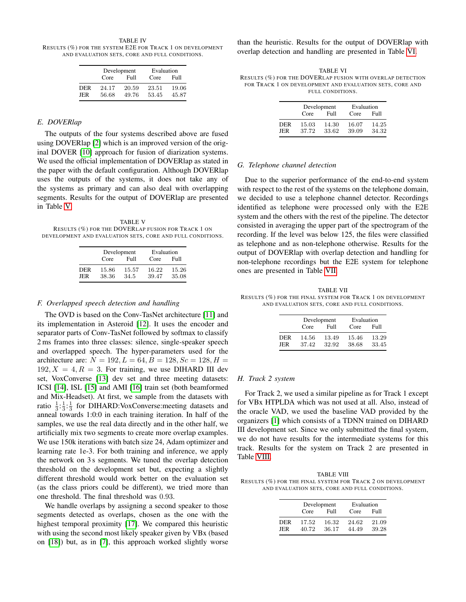<span id="page-2-0"></span>TABLE IV RESULTS (%) FOR THE SYSTEM E2E FOR TRACK 1 ON DEVELOPMENT AND EVALUATION SETS, CORE AND FULL CONDITIONS.

|            |                | Development    | Evaluation     |                |  |  |
|------------|----------------|----------------|----------------|----------------|--|--|
|            | Core           | Full           | Core           | Full           |  |  |
| DER<br>JER | 24.17<br>56.68 | 20.59<br>49.76 | 23.51<br>53.45 | 19.06<br>45.87 |  |  |

## *E. DOVERlap*

The outputs of the four systems described above are fused using DOVERlap [\[2\]](#page-3-1) which is an improved version of the original DOVER [\[10\]](#page-4-3) approach for fusion of diarization systems. We used the official implementation of DOVERlap as stated in the paper with the default configuration. Although DOVERlap uses the outputs of the systems, it does not take any of the systems as primary and can also deal with overlapping segments. Results for the output of DOVERlap are presented in Table [V.](#page-2-1)

<span id="page-2-1"></span>TABLE V RESULTS (%) FOR THE DOVERLAP FUSION FOR TRACK 1 ON DEVELOPMENT AND EVALUATION SETS, CORE AND FULL CONDITIONS.

|            |                | Development   | Evaluation     |                |  |  |
|------------|----------------|---------------|----------------|----------------|--|--|
|            | Core           | Full          | Core           | Full           |  |  |
| DER<br>JER | 15.86<br>38.36 | 15.57<br>34.5 | 16.22<br>39.47 | 15.26<br>35.08 |  |  |

#### *F. Overlapped speech detection and handling*

The OVD is based on the Conv-TasNet architecture [\[11\]](#page-4-4) and its implementation in Asteroid [\[12\]](#page-4-5). It uses the encoder and separator parts of Conv-TasNet followed by softmax to classify 2 ms frames into three classes: silence, single-speaker speech and overlapped speech. The hyper-parameters used for the architecture are:  $N = 192, L = 64, B = 128, Sc = 128, H =$  $192, X = 4, R = 3$ . For training, we use DIHARD III dev set, VoxConverse [\[13\]](#page-4-6) dev set and three meeting datasets: ICSI [\[14\]](#page-4-7), ISL [\[15\]](#page-4-8) and AMI [\[16\]](#page-4-9) train set (both beamformed and Mix-Headset). At first, we sample from the datasets with ratio  $\frac{1}{3}$ : $\frac{1}{3}$ : $\frac{1}{3}$  for DIHARD: VoxConverse: meeting datasets and anneal towards 1:0:0 in each training iteration. In half of the samples, we use the real data directly and in the other half, we artificially mix two segments to create more overlap examples. We use 150k iterations with batch size 24, Adam optimizer and learning rate 1e-3. For both training and inference, we apply the network on 3 s segments. We tuned the overlap detection threshold on the development set but, expecting a slightly different threshold would work better on the evaluation set (as the class priors could be different), we tried more than one threshold. The final threshold was 0.93.

We handle overlaps by assigning a second speaker to those segments detected as overlaps, chosen as the one with the highest temporal proximity [\[17\]](#page-4-10). We compared this heuristic with using the second most likely speaker given by VBx (based on [\[18\]](#page-4-11)) but, as in [\[7\]](#page-4-0), this approach worked slightly worse than the heuristic. Results for the output of DOVERlap with overlap detection and handling are presented in Table [VI.](#page-2-2)

<span id="page-2-2"></span>TABLE VI RESULTS (%) FOR THE DOVERLAP FUSION WITH OVERLAP DETECTION FOR TRACK 1 ON DEVELOPMENT AND EVALUATION SETS, CORE AND FULL CONDITIONS.

|     | Core  | Development<br>Full | Evaluation<br>Core<br>Full |       |  |  |  |
|-----|-------|---------------------|----------------------------|-------|--|--|--|
| DER | 15.03 | 14.30               | 16.07                      | 14.25 |  |  |  |
| JER | 37.72 | 33.62               | 39.09                      | 34.32 |  |  |  |

#### *G. Telephone channel detection*

Due to the superior performance of the end-to-end system with respect to the rest of the systems on the telephone domain, we decided to use a telephone channel detector. Recordings identified as telephone were processed only with the E2E system and the others with the rest of the pipeline. The detector consisted in averaging the upper part of the spectrogram of the recording. If the level was below 125, the files were classified as telephone and as non-telephone otherwise. Results for the output of DOVERlap with overlap detection and handling for non-telephone recordings but the E2E system for telephone ones are presented in Table [VII.](#page-2-3)

<span id="page-2-3"></span>TABLE VII RESULTS (%) FOR THE FINAL SYSTEM FOR TRACK 1 ON DEVELOPMENT AND EVALUATION SETS, CORE AND FULL CONDITIONS.

|     |       | Development | Evaluation |       |  |  |
|-----|-------|-------------|------------|-------|--|--|
|     | Core  | Full        | Core       | Full  |  |  |
| DER | 14.56 | 13.49       | 15.46      | 13.29 |  |  |
| JER | 37.42 | 32.92       | 38.68      | 33.45 |  |  |

#### *H. Track 2 system*

For Track 2, we used a similar pipeline as for Track 1 except for VBx HTPLDA which was not used at all. Also, instead of the oracle VAD, we used the baseline VAD provided by the organizers [\[1\]](#page-3-0) which consists of a TDNN trained on DIHARD III development set. Since we only submitted the final system, we do not have results for the intermediate systems for this track. Results for the system on Track 2 are presented in Table [VIII.](#page-2-4)

<span id="page-2-4"></span>TABLE VIII RESULTS (%) FOR THE FINAL SYSTEM FOR TRACK 2 ON DEVELOPMENT AND EVALUATION SETS, CORE AND FULL CONDITIONS.

|                   |                | Development    | Evaluation     |                |  |  |
|-------------------|----------------|----------------|----------------|----------------|--|--|
|                   | Core           | Full           | Core           | Full           |  |  |
| <b>DER</b><br>JER | 17.52<br>40.72 | 16.32<br>36.17 | 24.62<br>44.49 | 21.09<br>39.28 |  |  |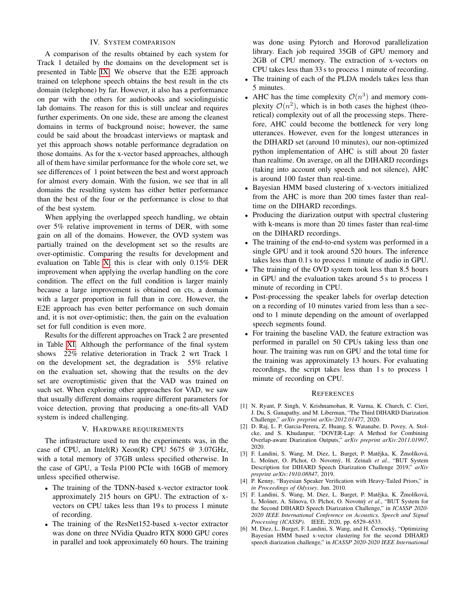# IV. SYSTEM COMPARISON

A comparison of the results obtained by each system for Track 1 detailed by the domains on the development set is presented in Table [IX.](#page-4-12) We observe that the E2E approach trained on telephone speech obtains the best result in the cts domain (telephone) by far. However, it also has a performance on par with the others for audiobooks and sociolinguistic lab domains. The reason for this is still unclear and requires further experiments. On one side, these are among the cleanest domains in terms of background noise; however, the same could be said about the broadcast interviews or maptask and yet this approach shows notable performance degradation on those domains. As for the x-vector based approaches, although all of them have similar performance for the whole core set, we see differences of 1 point between the best and worst approach for almost every domain. With the fusion, we see that in all domains the resulting system has either better performance than the best of the four or the performance is close to that of the best system.

When applying the overlapped speech handling, we obtain over 5% relative improvement in terms of DER, with some gain on all of the domains. However, the OVD system was partially trained on the development set so the results are over-optimistic. Comparing the results for development and evaluation on Table [X,](#page-4-13) this is clear with only 0.15% DER improvement when applying the overlap handling on the core condition. The effect on the full condition is larger mainly because a large improvement is obtained on cts, a domain with a larger proportion in full than in core. However, the E2E approach has even better performance on such domain and, it is not over-optimistic; then, the gain on the evaluation set for full condition is even more.

Results for the different approaches on Track 2 are presented in Table [XI.](#page-4-14) Although the performance of the final system shows 22% relative deterioration in Track 2 wrt Track 1 on the development set, the degradation is 55% relative on the evaluation set, showing that the results on the dev set are overoptimistic given that the VAD was trained on such set. When exploring other approaches for VAD, we saw that usually different domains require different parameters for voice detection, proving that producing a one-fits-all VAD system is indeed challenging.

#### V. HARDWARE REQUIREMENTS

The infrastructure used to run the experiments was, in the case of CPU, an Intel(R) Xeon(R) CPU 5675  $@$  3.07GHz, with a total memory of 37GB unless specified otherwise. In the case of GPU, a Tesla P100 PCIe with 16GB of memory unless specified otherwise.

- The training of the TDNN-based x-vector extractor took approximately 215 hours on GPU. The extraction of xvectors on CPU takes less than 19 s to process 1 minute of recording.
- The training of the ResNet152-based x-vector extractor was done on three NVidia Quadro RTX 8000 GPU cores in parallel and took approximately 60 hours. The training

was done using Pytorch and Horovod parallelization library. Each job required 35GB of GPU memory and 2GB of CPU memory. The extraction of x-vectors on CPU takes less than 33 s to process 1 minute of recording.

- The training of each of the PLDA models takes less than 5 minutes.
- AHC has the time complexity  $\mathcal{O}(n^3)$  and memory complexity  $\mathcal{O}(n^2)$ , which is in both cases the highest (theoretical) complexity out of all the processing steps. Therefore, AHC could become the bottleneck for very long utterances. However, even for the longest utterances in the DIHARD set (around 10 minutes), our non-optimized python implementation of AHC is still about 20 faster than realtime. On average, on all the DIHARD recordings (taking into account only speech and not silence), AHC is around 100 faster than real-time.
- Bayesian HMM based clustering of x-vectors initialized from the AHC is more than 200 times faster than realtime on the DIHARD recordings.
- Producing the diarization output with spectral clustering with k-means is more than 20 times faster than real-time on the DIHARD recordings.
- The training of the end-to-end system was performed in a single GPU and it took around 520 hours. The inference takes less than 0.1 s to process 1 minute of audio in GPU.
- The training of the OVD system took less than 8.5 hours in GPU and the evaluation takes around 5 s to process 1 minute of recording in CPU.
- Post-processing the speaker labels for overlap detection on a recording of 10 minutes varied from less than a second to 1 minute depending on the amount of overlapped speech segments found.
- For training the baseline VAD, the feature extraction was performed in parallel on 50 CPUs taking less than one hour. The training was run on GPU and the total time for the training was approximately 13 hours. For evaluating recordings, the script takes less than 1 s to process 1 minute of recording on CPU.

#### **REFERENCES**

- <span id="page-3-0"></span>[1] N. Ryant, P. Singh, V. Krishnamohan, R. Varma, K. Church, C. Cieri, J. Du, S. Ganapathy, and M. Liberman, "The Third DIHARD Diarization Challenge," *arXiv preprint arXiv:2012.01477*, 2020.
- <span id="page-3-1"></span>[2] D. Raj, L. P. Garcia-Perera, Z. Huang, S. Watanabe, D. Povey, A. Stolcke, and S. Khudanpur, "DOVER-Lap: A Method for Combining Overlap-aware Diarization Outputs," *arXiv preprint arXiv:2011.01997*, 2020.
- <span id="page-3-2"></span>[3] F. Landini, S. Wang, M. Diez, L. Burget, P. Matějka, K. Žmolíková, L. Mošner, O. Plchot, O. Novotnỳ, H. Zeinali et al., "BUT System Description for DIHARD Speech Diarization Challenge 2019," *arXiv preprint arXiv:1910.08847*, 2019.
- <span id="page-3-3"></span>[4] P. Kenny, "Bayesian Speaker Verification with Heavy-Tailed Priors," in *in Proceedings of Odyssey*, Jun. 2010.
- <span id="page-3-4"></span>[5] F. Landini, S. Wang, M. Diez, L. Burget, P. Matějka, K. Žmolíková, L. Mošner, A. Silnova, O. Plchot, O. Novotnỳ et al., "BUT System for the Second DIHARD Speech Diarization Challenge," in *ICASSP 2020- 2020 IEEE International Conference on Acoustics, Speech and Signal Processing (ICASSP)*. IEEE, 2020, pp. 6529–6533.
- <span id="page-3-5"></span>[6] M. Diez, L. Burget, F. Landini, S. Wang, and H. Černocky, "Optimizing Bayesian HMM based x-vector clustering for the second DIHARD speech diarization challenge," in *ICASSP 2020-2020 IEEE International*